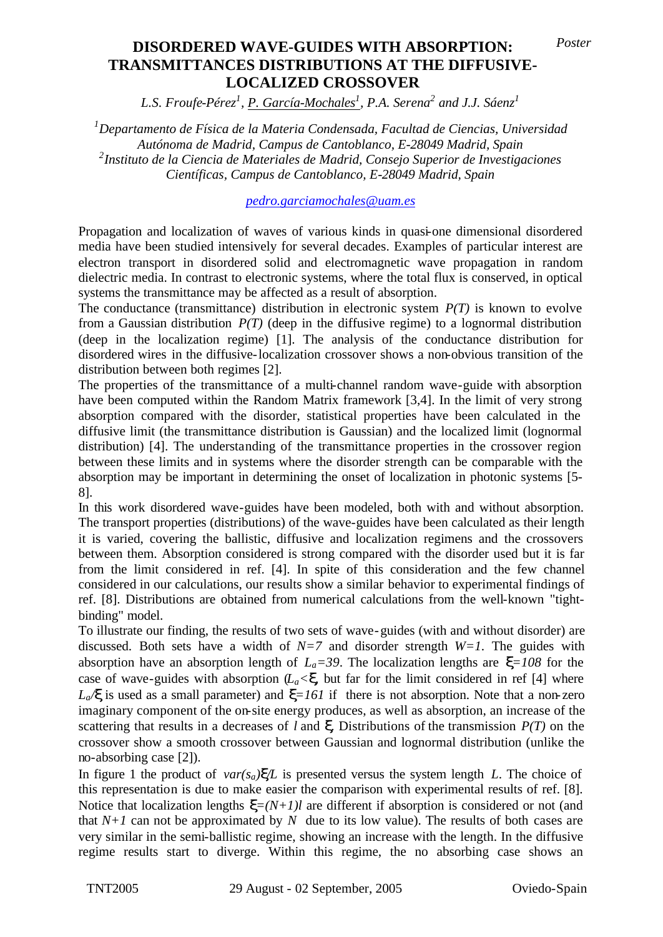## $\textbf{TRANSMITTANCES DISTRIBUTIONS AT THE DIFFUSIVE-}$ **Diffusive-Localized Crossover LOCALIZED CROSSOVER DISORDERED WAVE-GUIDES WITH ABSORPTION:** *Poster*

*L.S. Froufe-Pérez<sup>1</sup> , P. García-Mochales<sup>1</sup> , P.A. Serena<sup>2</sup> and J.J. Sáenz<sup>1</sup>*

*<sup>1</sup>Departamento de Física de la Materia Condensada, Facultad de Ciencias, Universidad Autónoma de Madrid, Campus de Cantoblanco, E-28049 Madrid, Spain 2 Instituto de la Ciencia de Materiales de Madrid, Consejo Superior de Investigaciones Científicas, Campus de Cantoblanco, E-28049 Madrid, Spain*

*pedro.garciamochales@uam.es*

Propagation and localization of waves of various kinds in quasi-one dimensional disordered media have been studied intensively for several decades. Examples of particular interest are electron transport in disordered solid and electromagnetic wave propagation in random dielectric media. In contrast to electronic systems, where the total flux is conserved, in optical systems the transmittance may be affected as a result of absorption.

The conductance (transmittance) distribution in electronic system *P(T)* is known to evolve from a Gaussian distribution  $P(T)$  (deep in the diffusive regime) to a lognormal distribution (deep in the localization regime) [1]. The analysis of the conductance distribution for disordered wires in the diffusive-localization crossover shows a non-obvious transition of the distribution between both regimes [2].

The properties of the transmittance of a multi-channel random wave-guide with absorption have been computed within the Random Matrix framework [3,4]. In the limit of very strong absorption compared with the disorder, statistical properties have been calculated in the diffusive limit (the transmittance distribution is Gaussian) and the localized limit (lognormal distribution) [4]. The understanding of the transmittance properties in the crossover region between these limits and in systems where the disorder strength can be comparable with the absorption may be important in determining the onset of localization in photonic systems [5- 8].

In this work disordered wave-guides have been modeled, both with and without absorption. The transport properties (distributions) of the wave-guides have been calculated as their length it is varied, covering the ballistic, diffusive and localization regimens and the crossovers between them. Absorption considered is strong compared with the disorder used but it is far from the limit considered in ref. [4]. In spite of this consideration and the few channel considered in our calculations, our results show a similar behavior to experimental findings of ref. [8]. Distributions are obtained from numerical calculations from the well-known "tightbinding" model.

To illustrate our finding, the results of two sets of wave-guides (with and without disorder) are discussed. Both sets have a width of  $N=7$  and disorder strength  $W=1$ . The guides with absorption have an absorption length of  $L_a = 39$ . The localization lengths are  $\mathbf{x} = 108$  for the case of wave-guides with absorption  $(L_a \leq \mathbf{x})$  but far for the limit considered in ref [4] where  $L_a$ *x* is used as a small parameter) and  $\mathbf{x}$ =161 if there is not absorption. Note that a non-zero imaginary component of the on-site energy produces, as well as absorption, an increase of the scattering that results in a decreases of *l* and *x*. Distributions of the transmission *P(T)* on the crossover show a smooth crossover between Gaussian and lognormal distribution (unlike the no-absorbing case [2]).

In figure 1 the product of  $var(s_a) \times \mathbb{Z}$  is presented versus the system length *L*. The choice of this representation is due to make easier the comparison with experimental results of ref. [8]. Notice that localization lengths  $\mathbf{x}=(N+1)l$  are different if absorption is considered or not (and that  $N+1$  can not be approximated by N due to its low value). The results of both cases are very similar in the semi-ballistic regime, showing an increase with the length. In the diffusive regime results start to diverge. Within this regime, the no absorbing case shows an